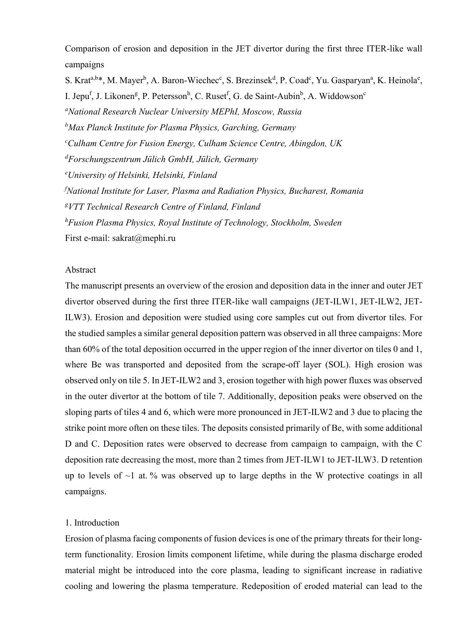Comparison of erosion and deposition in the JET divertor during the first three ITER-like wall campaigns

S. Krat<sup>a,b\*</sup>, M. Mayer<sup>b</sup>, A. Baron-Wiechec<sup>c</sup>, S. Brezinsek<sup>d</sup>, P. Coad<sup>c</sup>, Yu. Gasparyan<sup>a</sup>, K. Heinola<sup>e</sup>, I. Jepu<sup>f</sup>, J. Likonen<sup>g</sup>, P. Petersson<sup>h</sup>, C. Ruset<sup>f</sup>, G. de Saint-Aubin<sup>b</sup>, A. Widdowson<sup>c</sup> <sup>a</sup>National Research Nuclear University MEPhI, Moscow, Russia  $<sup>b</sup>$ Max Planck Institute for Plasma Physics, Garching, Germany</sup>  $c$ Culham Centre for Fusion Energy, Culham Science Centre, Abingdon, UK  ${}^{d}F$ orschungszentrum Jülich GmbH, Jülich, Germany <sup>e</sup>University of Helsinki, Helsinki, Finland  $f$ National Institute for Laser, Plasma and Radiation Physics, Bucharest, Romania <sup>8</sup>VTT Technical Research Centre of Finland, Finland  ${}^h$ Fusion Plasma Physics, Royal Institute of Technology, Stockholm, Sweden First e-mail: sakrat@mephi.ru

#### Abstract

The manuscript presents an overview of the erosion and deposition data in the inner and outer JET divertor observed during the first three ITER-like wall campaigns (JET-ILW1, JET-ILW2, JET-ILW3). Erosion and deposition were studied using core samples cut out from divertor tiles. For the studied samples a similar general deposition pattern was observed in all three campaigns: More than 60% of the total deposition occurred in the upper region of the inner divertor on tiles 0 and 1, where Be was transported and deposited from the scrape-off layer (SOL). High erosion was observed only on tile 5. In JET-ILW2 and 3, erosion together with high power fluxes was observed in the outer divertor at the bottom of tile 7. Additionally, deposition peaks were observed on the sloping parts of tiles 4 and 6, which were more pronounced in JET-ILW2 and 3 due to placing the strike point more often on these tiles. The deposits consisted primarily of Be, with some additional D and C. Deposition rates were observed to decrease from campaign to campaign, with the C deposition rate decreasing the most, more than 2 times from JET-ILW1 to JET-ILW3. D retention up to levels of  $\sim$ 1 at. % was observed up to large depths in the W protective coatings in all campaigns.

#### 1. Introduction

Erosion of plasma facing components of fusion devices is one of the primary threats for their longterm functionality. Erosion limits component lifetime, while during the plasma discharge eroded material might be introduced into the core plasma, leading to significant increase in radiative cooling and lowering the plasma temperature. Redeposition of eroded material can lead to the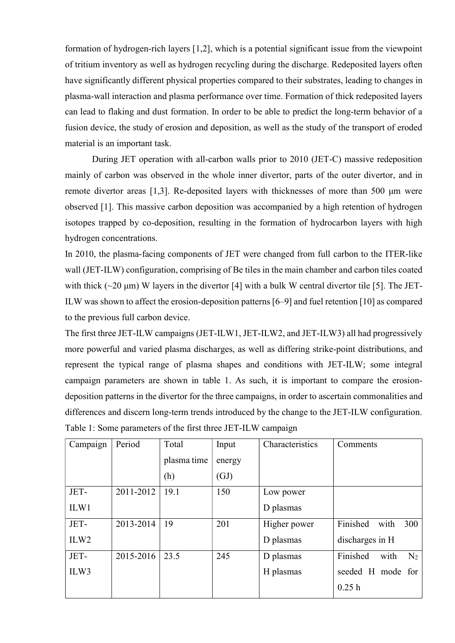formation of hydrogen-rich layers [1,2], which is a potential significant issue from the viewpoint of tritium inventory as well as hydrogen recycling during the discharge. Redeposited layers often have significantly different physical properties compared to their substrates, leading to changes in plasma-wall interaction and plasma performance over time. Formation of thick redeposited layers can lead to flaking and dust formation. In order to be able to predict the long-term behavior of a fusion device, the study of erosion and deposition, as well as the study of the transport of eroded material is an important task.

During JET operation with all-carbon walls prior to 2010 (JET-C) massive redeposition mainly of carbon was observed in the whole inner divertor, parts of the outer divertor, and in remote divertor areas [1,3]. Re-deposited layers with thicknesses of more than 500 μm were observed [1]. This massive carbon deposition was accompanied by a high retention of hydrogen isotopes trapped by co-deposition, resulting in the formation of hydrocarbon layers with high hydrogen concentrations.

In 2010, the plasma-facing components of JET were changed from full carbon to the ITER-like wall (JET-ILW) configuration, comprising of Be tiles in the main chamber and carbon tiles coated with thick  $(\sim 20 \,\mu m)$  W layers in the divertor [4] with a bulk W central divertor tile [5]. The JET-ILW was shown to affect the erosion-deposition patterns [6–9] and fuel retention [10] as compared to the previous full carbon device.

The first three JET-ILW campaigns (JET-ILW1, JET-ILW2, and JET-ILW3) all had progressively more powerful and varied plasma discharges, as well as differing strike-point distributions, and represent the typical range of plasma shapes and conditions with JET-ILW; some integral campaign parameters are shown in table 1. As such, it is important to compare the erosiondeposition patterns in the divertor for the three campaigns, in order to ascertain commonalities and differences and discern long-term trends introduced by the change to the JET-ILW configuration. Table 1: Some parameters of the first three JET-ILW campaign

| Campaign         | Period    | Total       | Input  | Characteristics | Comments                      |
|------------------|-----------|-------------|--------|-----------------|-------------------------------|
|                  |           | plasma time | energy |                 |                               |
|                  |           | (h)         | (GJ)   |                 |                               |
| JET-             | 2011-2012 | 19.1        | 150    | Low power       |                               |
| ILW1             |           |             |        | D plasmas       |                               |
| JET-             | 2013-2014 | 19          | 201    | Higher power    | Finished<br>with<br>300       |
| ILW <sub>2</sub> |           |             |        | D plasmas       | discharges in H               |
| JET-             | 2015-2016 | 23.5        | 245    | D plasmas       | Finished<br>with<br>$\rm N_2$ |
| ILW3             |           |             |        | H plasmas       | seeded H mode for             |
|                  |           |             |        |                 | 0.25h                         |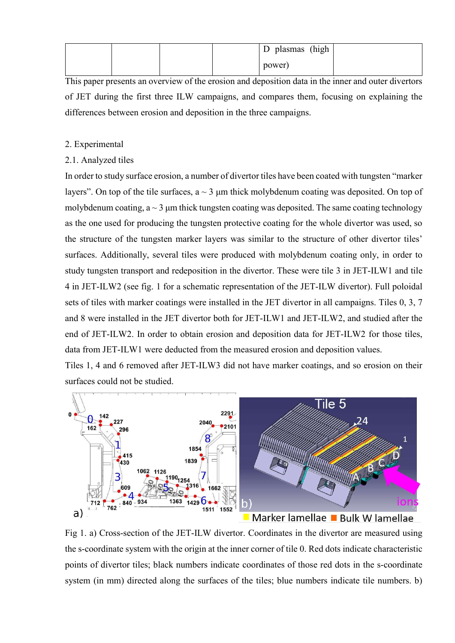|  |  | plasmas (high<br>$\mathbf{D}$ |  |
|--|--|-------------------------------|--|
|  |  | power)                        |  |

This paper presents an overview of the erosion and deposition data in the inner and outer divertors of JET during the first three ILW campaigns, and compares them, focusing on explaining the differences between erosion and deposition in the three campaigns.

## 2. Experimental

# 2.1. Analyzed tiles

In order to study surface erosion, a number of divertor tiles have been coated with tungsten "marker layers". On top of the tile surfaces,  $a \sim 3 \mu m$  thick molybdenum coating was deposited. On top of molybdenum coating,  $a \sim 3$  µm thick tungsten coating was deposited. The same coating technology as the one used for producing the tungsten protective coating for the whole divertor was used, so the structure of the tungsten marker layers was similar to the structure of other divertor tiles' surfaces. Additionally, several tiles were produced with molybdenum coating only, in order to study tungsten transport and redeposition in the divertor. These were tile 3 in JET-ILW1 and tile 4 in JET-ILW2 (see fig. 1 for a schematic representation of the JET-ILW divertor). Full poloidal sets of tiles with marker coatings were installed in the JET divertor in all campaigns. Tiles 0, 3, 7 and 8 were installed in the JET divertor both for JET-ILW1 and JET-ILW2, and studied after the end of JET-ILW2. In order to obtain erosion and deposition data for JET-ILW2 for those tiles, data from JET-ILW1 were deducted from the measured erosion and deposition values.

Tiles 1, 4 and 6 removed after JET-ILW3 did not have marker coatings, and so erosion on their surfaces could not be studied.



Fig 1. a) Cross-section of the JET-ILW divertor. Coordinates in the divertor are measured using the s-coordinate system with the origin at the inner corner of tile 0. Red dots indicate characteristic points of divertor tiles; black numbers indicate coordinates of those red dots in the s-coordinate system (in mm) directed along the surfaces of the tiles; blue numbers indicate tile numbers. b)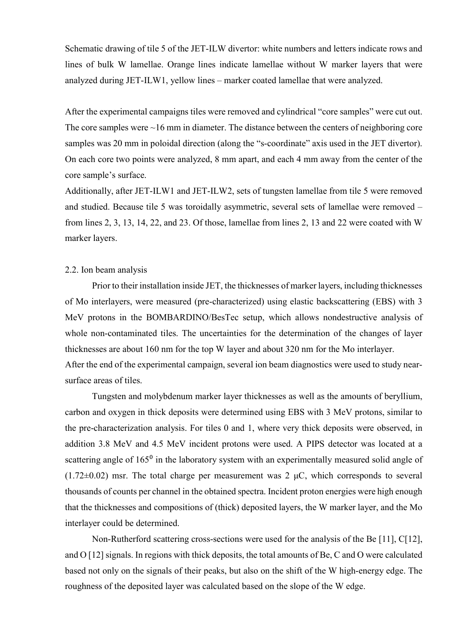Schematic drawing of tile 5 of the JET-ILW divertor: white numbers and letters indicate rows and lines of bulk W lamellae. Orange lines indicate lamellae without W marker layers that were analyzed during JET-ILW1, yellow lines – marker coated lamellae that were analyzed.

After the experimental campaigns tiles were removed and cylindrical "core samples" were cut out. The core samples were  $\sim$ 16 mm in diameter. The distance between the centers of neighboring core samples was 20 mm in poloidal direction (along the "s-coordinate" axis used in the JET divertor). On each core two points were analyzed, 8 mm apart, and each 4 mm away from the center of the core sample's surface.

Additionally, after JET-ILW1 and JET-ILW2, sets of tungsten lamellae from tile 5 were removed and studied. Because tile 5 was toroidally asymmetric, several sets of lamellae were removed – from lines 2, 3, 13, 14, 22, and 23. Of those, lamellae from lines 2, 13 and 22 were coated with W marker layers.

#### 2.2. Ion beam analysis

Prior to their installation inside JET, the thicknesses of marker layers, including thicknesses of Mo interlayers, were measured (pre-characterized) using elastic backscattering (EBS) with 3 MeV protons in the BOMBARDINO/BesTec setup, which allows nondestructive analysis of whole non-contaminated tiles. The uncertainties for the determination of the changes of layer thicknesses are about 160 nm for the top W layer and about 320 nm for the Mo interlayer. After the end of the experimental campaign, several ion beam diagnostics were used to study nearsurface areas of tiles.

Tungsten and molybdenum marker layer thicknesses as well as the amounts of beryllium, carbon and oxygen in thick deposits were determined using EBS with 3 MeV protons, similar to the pre-characterization analysis. For tiles 0 and 1, where very thick deposits were observed, in addition 3.8 MeV and 4.5 MeV incident protons were used. A PIPS detector was located at a scattering angle of  $165<sup>0</sup>$  in the laboratory system with an experimentally measured solid angle of  $(1.72\pm0.02)$  msr. The total charge per measurement was 2  $\mu$ C, which corresponds to several thousands of counts per channel in the obtained spectra. Incident proton energies were high enough that the thicknesses and compositions of (thick) deposited layers, the W marker layer, and the Mo interlayer could be determined.

Non-Rutherford scattering cross-sections were used for the analysis of the Be [11], C[12], and O [12] signals. In regions with thick deposits, the total amounts of Be, C and O were calculated based not only on the signals of their peaks, but also on the shift of the W high-energy edge. The roughness of the deposited layer was calculated based on the slope of the W edge.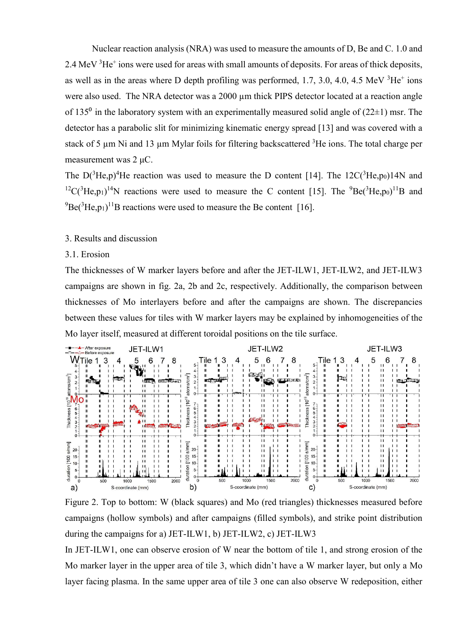Nuclear reaction analysis (NRA) was used to measure the amounts of D, Be and C. 1.0 and 2.4 MeV  ${}^{3}$ He<sup>+</sup> ions were used for areas with small amounts of deposits. For areas of thick deposits, as well as in the areas where D depth profiling was performed,  $1.7, 3.0, 4.0, 4.5$  MeV  $3He<sup>+</sup>$  ions were also used. The NRA detector was a 2000 µm thick PIPS detector located at a reaction angle of 135<sup>0</sup> in the laboratory system with an experimentally measured solid angle of (22 $\pm$ 1) msr. The detector has a parabolic slit for minimizing kinematic energy spread [13] and was covered with a stack of 5 µm Ni and 13 µm Mylar foils for filtering backscattered <sup>3</sup>He ions. The total charge per measurement was 2 μC.

The  $D(^{3}He,p)^{4}He$  reaction was used to measure the D content [14]. The 12C( $^{3}He,p_{0}$ )14N and <sup>12</sup>C(<sup>3</sup>He,p<sub>1</sub>)<sup>14</sup>N reactions were used to measure the C content [15]. The <sup>9</sup>Be(<sup>3</sup>He,p<sub>0</sub>)<sup>11</sup>B and  $^{9}$ Be(<sup>3</sup>He,p<sub>1</sub>)<sup>11</sup>B reactions were used to measure the Be content [16].

## 3. Results and discussion

### 3.1. Erosion

The thicknesses of W marker layers before and after the JET-ILW1, JET-ILW2, and JET-ILW3 campaigns are shown in fig. 2a, 2b and 2c, respectively. Additionally, the comparison between thicknesses of Mo interlayers before and after the campaigns are shown. The discrepancies between these values for tiles with W marker layers may be explained by inhomogeneities of the Mo layer itself, measured at different toroidal positions on the tile surface.



Figure 2. Top to bottom: W (black squares) and Mo (red triangles) thicknesses measured before campaigns (hollow symbols) and after campaigns (filled symbols), and strike point distribution during the campaigns for a) JET-ILW1, b) JET-ILW2, c) JET-ILW3

In JET-ILW1, one can observe erosion of W near the bottom of tile 1, and strong erosion of the Mo marker layer in the upper area of tile 3, which didn't have a W marker layer, but only a Mo layer facing plasma. In the same upper area of tile 3 one can also observe W redeposition, either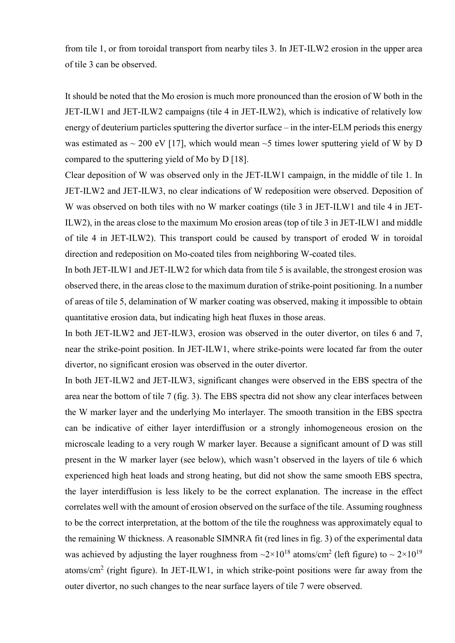from tile 1, or from toroidal transport from nearby tiles 3. In JET-ILW2 erosion in the upper area of tile 3 can be observed.

It should be noted that the Mo erosion is much more pronounced than the erosion of W both in the JET-ILW1 and JET-ILW2 campaigns (tile 4 in JET-ILW2), which is indicative of relatively low energy of deuterium particles sputtering the divertor surface – in the inter-ELM periods this energy was estimated as  $\sim 200$  eV [17], which would mean  $\sim$ 5 times lower sputtering yield of W by D compared to the sputtering yield of Mo by D [18].

Clear deposition of W was observed only in the JET-ILW1 campaign, in the middle of tile 1. In JET-ILW2 and JET-ILW3, no clear indications of W redeposition were observed. Deposition of W was observed on both tiles with no W marker coatings (tile 3 in JET-ILW1 and tile 4 in JET-ILW2), in the areas close to the maximum Mo erosion areas (top of tile 3 in JET-ILW1 and middle of tile 4 in JET-ILW2). This transport could be caused by transport of eroded W in toroidal direction and redeposition on Mo-coated tiles from neighboring W-coated tiles.

In both JET-ILW1 and JET-ILW2 for which data from tile 5 is available, the strongest erosion was observed there, in the areas close to the maximum duration of strike-point positioning. In a number of areas of tile 5, delamination of W marker coating was observed, making it impossible to obtain quantitative erosion data, but indicating high heat fluxes in those areas.

In both JET-ILW2 and JET-ILW3, erosion was observed in the outer divertor, on tiles 6 and 7, near the strike-point position. In JET-ILW1, where strike-points were located far from the outer divertor, no significant erosion was observed in the outer divertor.

In both JET-ILW2 and JET-ILW3, significant changes were observed in the EBS spectra of the area near the bottom of tile 7 (fig. 3). The EBS spectra did not show any clear interfaces between the W marker layer and the underlying Mo interlayer. The smooth transition in the EBS spectra can be indicative of either layer interdiffusion or a strongly inhomogeneous erosion on the microscale leading to a very rough W marker layer. Because a significant amount of D was still present in the W marker layer (see below), which wasn't observed in the layers of tile 6 which experienced high heat loads and strong heating, but did not show the same smooth EBS spectra, the layer interdiffusion is less likely to be the correct explanation. The increase in the effect correlates well with the amount of erosion observed on the surface of the tile. Assuming roughness to be the correct interpretation, at the bottom of the tile the roughness was approximately equal to the remaining W thickness. A reasonable SIMNRA fit (red lines in fig. 3) of the experimental data was achieved by adjusting the layer roughness from  $\sim 2 \times 10^{18}$  atoms/cm<sup>2</sup> (left figure) to  $\sim 2 \times 10^{19}$ atoms/cm<sup>2</sup> (right figure). In JET-ILW1, in which strike-point positions were far away from the outer divertor, no such changes to the near surface layers of tile 7 were observed.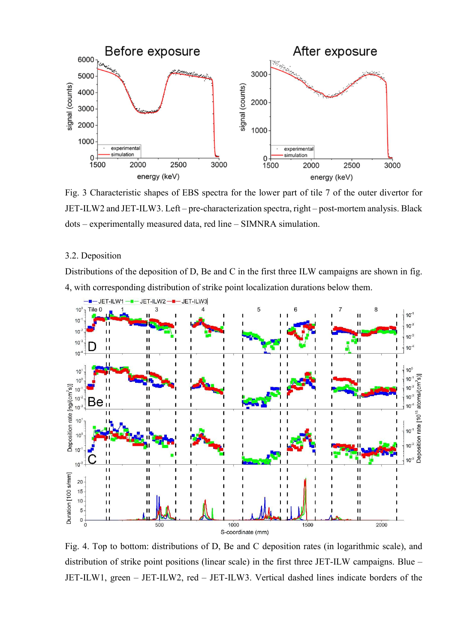

Fig. 3 Characteristic shapes of EBS spectra for the lower part of tile 7 of the outer divertor for JET-ILW2 and JET-ILW3. Left – pre-characterization spectra, right – post-mortem analysis. Black dots – experimentally measured data, red line – SIMNRA simulation.

## 3.2. Deposition

Distributions of the deposition of D, Be and C in the first three ILW campaigns are shown in fig. 4, with corresponding distribution of strike point localization durations below them.



Fig. 4. Top to bottom: distributions of D, Be and C deposition rates (in logarithmic scale), and distribution of strike point positions (linear scale) in the first three JET-ILW campaigns. Blue – JET-ILW1, green – JET-ILW2, red – JET-ILW3. Vertical dashed lines indicate borders of the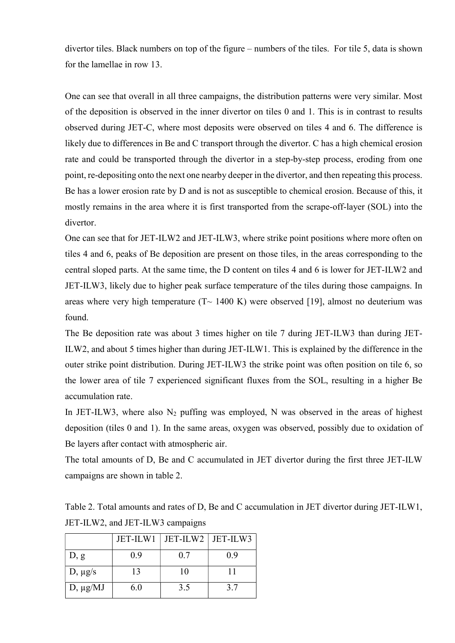divertor tiles. Black numbers on top of the figure – numbers of the tiles. For tile 5, data is shown for the lamellae in row 13.

One can see that overall in all three campaigns, the distribution patterns were very similar. Most of the deposition is observed in the inner divertor on tiles 0 and 1. This is in contrast to results observed during JET-C, where most deposits were observed on tiles 4 and 6. The difference is likely due to differences in Be and C transport through the divertor. C has a high chemical erosion rate and could be transported through the divertor in a step-by-step process, eroding from one point, re-depositing onto the next one nearby deeper in the divertor, and then repeating this process. Be has a lower erosion rate by D and is not as susceptible to chemical erosion. Because of this, it mostly remains in the area where it is first transported from the scrape-off-layer (SOL) into the divertor.

One can see that for JET-ILW2 and JET-ILW3, where strike point positions where more often on tiles 4 and 6, peaks of Be deposition are present on those tiles, in the areas corresponding to the central sloped parts. At the same time, the D content on tiles 4 and 6 is lower for JET-ILW2 and JET-ILW3, likely due to higher peak surface temperature of the tiles during those campaigns. In areas where very high temperature  $(T \sim 1400 \text{ K})$  were observed [19], almost no deuterium was found.

The Be deposition rate was about 3 times higher on tile 7 during JET-ILW3 than during JET-ILW2, and about 5 times higher than during JET-ILW1. This is explained by the difference in the outer strike point distribution. During JET-ILW3 the strike point was often position on tile 6, so the lower area of tile 7 experienced significant fluxes from the SOL, resulting in a higher Be accumulation rate.

In JET-ILW3, where also  $N_2$  puffing was employed, N was observed in the areas of highest deposition (tiles 0 and 1). In the same areas, oxygen was observed, possibly due to oxidation of Be layers after contact with atmospheric air.

The total amounts of D, Be and C accumulated in JET divertor during the first three JET-ILW campaigns are shown in table 2.

Table 2. Total amounts and rates of D, Be and C accumulation in JET divertor during JET-ILW1, JET-ILW2, and JET-ILW3 campaigns

|               | JET-ILW1 | JET-ILW2   JET-ILW3 |     |
|---------------|----------|---------------------|-----|
| D, g          | 0.9      | 0.7                 | 0.9 |
| $D, \mu g/s$  | 13       | 10                  |     |
| $D, \mu g/MJ$ | 6.0      | 3.5                 | 37  |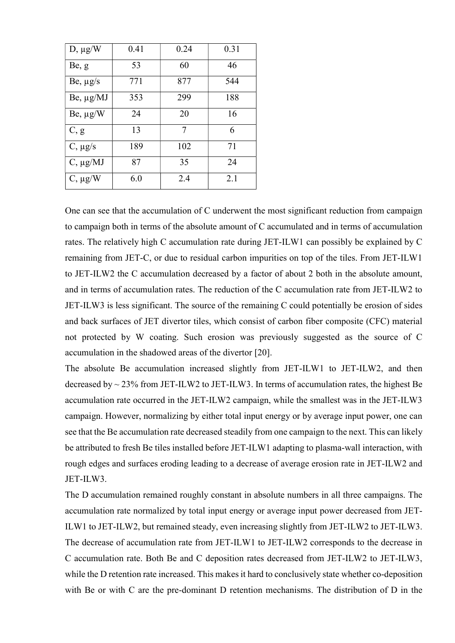| $D, \mu g/W$     | 0.41 | 0.24 | 0.31 |
|------------------|------|------|------|
| Be, g            | 53   | 60   | 46   |
| $Be, \mu g/s$    | 771  | 877  | 544  |
| Be, μg/MJ        | 353  | 299  | 188  |
| $Be, \mu g/W$    | 24   | 20   | 16   |
| C, g             | 13   | 7    | 6    |
| $C, \mu g/s$     | 189  | 102  | 71   |
| $C$ , $\mu$ g/MJ | 87   | 35   | 24   |
| $C, \mu g/W$     | 6.0  | 2.4  | 2.1  |

One can see that the accumulation of C underwent the most significant reduction from campaign to campaign both in terms of the absolute amount of C accumulated and in terms of accumulation rates. The relatively high C accumulation rate during JET-ILW1 can possibly be explained by C remaining from JET-C, or due to residual carbon impurities on top of the tiles. From JET-ILW1 to JET-ILW2 the C accumulation decreased by a factor of about 2 both in the absolute amount, and in terms of accumulation rates. The reduction of the C accumulation rate from JET-ILW2 to JET-ILW3 is less significant. The source of the remaining C could potentially be erosion of sides and back surfaces of JET divertor tiles, which consist of carbon fiber composite (CFC) material not protected by W coating. Such erosion was previously suggested as the source of C accumulation in the shadowed areas of the divertor [20].

The absolute Be accumulation increased slightly from JET-ILW1 to JET-ILW2, and then decreased by  $\sim$  23% from JET-ILW2 to JET-ILW3. In terms of accumulation rates, the highest Be accumulation rate occurred in the JET-ILW2 campaign, while the smallest was in the JET-ILW3 campaign. However, normalizing by either total input energy or by average input power, one can see that the Be accumulation rate decreased steadily from one campaign to the next. This can likely be attributed to fresh Be tiles installed before JET-ILW1 adapting to plasma-wall interaction, with rough edges and surfaces eroding leading to a decrease of average erosion rate in JET-ILW2 and JET-ILW3.

The D accumulation remained roughly constant in absolute numbers in all three campaigns. The accumulation rate normalized by total input energy or average input power decreased from JET-ILW1 to JET-ILW2, but remained steady, even increasing slightly from JET-ILW2 to JET-ILW3. The decrease of accumulation rate from JET-ILW1 to JET-ILW2 corresponds to the decrease in C accumulation rate. Both Be and C deposition rates decreased from JET-ILW2 to JET-ILW3, while the D retention rate increased. This makes it hard to conclusively state whether co-deposition with Be or with C are the pre-dominant D retention mechanisms. The distribution of D in the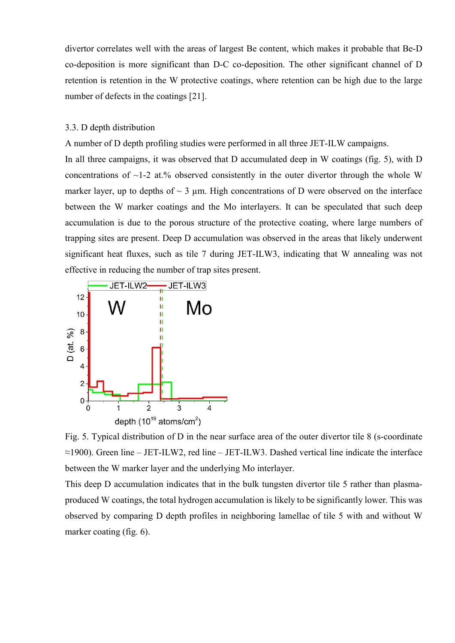divertor correlates well with the areas of largest Be content, which makes it probable that Be-D co-deposition is more significant than D-C co-deposition. The other significant channel of D retention is retention in the W protective coatings, where retention can be high due to the large number of defects in the coatings [21].

#### 3.3. D depth distribution

A number of D depth profiling studies were performed in all three JET-ILW campaigns.

In all three campaigns, it was observed that D accumulated deep in W coatings (fig. 5), with D concentrations of  $\sim$ 1-2 at.% observed consistently in the outer divertor through the whole W marker layer, up to depths of  $\sim$  3 µm. High concentrations of D were observed on the interface between the W marker coatings and the Mo interlayers. It can be speculated that such deep accumulation is due to the porous structure of the protective coating, where large numbers of trapping sites are present. Deep D accumulation was observed in the areas that likely underwent significant heat fluxes, such as tile 7 during JET-ILW3, indicating that W annealing was not effective in reducing the number of trap sites present.



Fig. 5. Typical distribution of D in the near surface area of the outer divertor tile 8 (s-coordinate  $\approx$ 1900). Green line – JET-ILW2, red line – JET-ILW3. Dashed vertical line indicate the interface between the W marker layer and the underlying Mo interlayer.

This deep D accumulation indicates that in the bulk tungsten divertor tile 5 rather than plasmaproduced W coatings, the total hydrogen accumulation is likely to be significantly lower. This was observed by comparing D depth profiles in neighboring lamellae of tile 5 with and without W marker coating (fig. 6).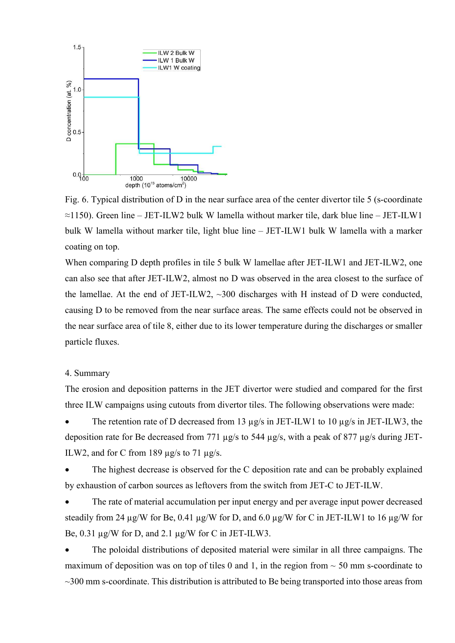

Fig. 6. Typical distribution of D in the near surface area of the center divertor tile 5 (s-coordinate  $\approx$ 1150). Green line – JET-ILW2 bulk W lamella without marker tile, dark blue line – JET-ILW1 bulk W lamella without marker tile, light blue line – JET-ILW1 bulk W lamella with a marker coating on top.

When comparing D depth profiles in tile 5 bulk W lamellae after JET-ILW1 and JET-ILW2, one can also see that after JET-ILW2, almost no D was observed in the area closest to the surface of the lamellae. At the end of JET-ILW2,  $\sim$ 300 discharges with H instead of D were conducted, causing D to be removed from the near surface areas. The same effects could not be observed in the near surface area of tile 8, either due to its lower temperature during the discharges or smaller particle fluxes.

#### 4. Summary

The erosion and deposition patterns in the JET divertor were studied and compared for the first three ILW campaigns using cutouts from divertor tiles. The following observations were made:

The retention rate of D decreased from 13 µg/s in JET-ILW1 to 10 µg/s in JET-ILW3, the deposition rate for Be decreased from 771 µg/s to 544 µg/s, with a peak of 877 µg/s during JET-ILW2, and for C from 189 µg/s to 71 µg/s.

 The highest decrease is observed for the C deposition rate and can be probably explained by exhaustion of carbon sources as leftovers from the switch from JET-C to JET-ILW.

 The rate of material accumulation per input energy and per average input power decreased steadily from 24  $\mu$ g/W for Be, 0.41  $\mu$ g/W for D, and 6.0  $\mu$ g/W for C in JET-ILW1 to 16  $\mu$ g/W for Be, 0.31 µg/W for D, and 2.1 µg/W for C in JET-ILW3.

 The poloidal distributions of deposited material were similar in all three campaigns. The maximum of deposition was on top of tiles 0 and 1, in the region from  $\sim$  50 mm s-coordinate to  $\sim$ 300 mm s-coordinate. This distribution is attributed to Be being transported into those areas from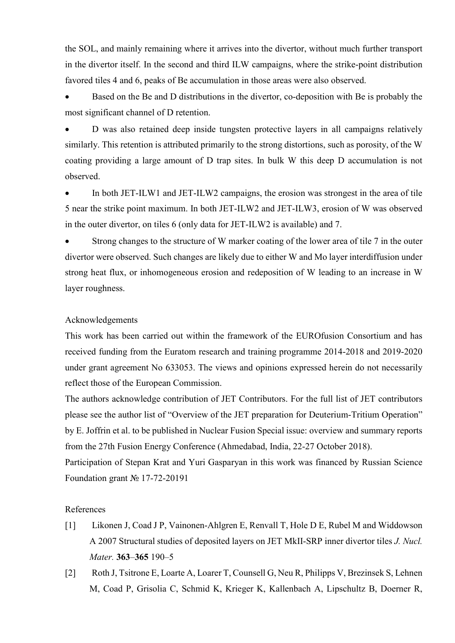the SOL, and mainly remaining where it arrives into the divertor, without much further transport in the divertor itself. In the second and third ILW campaigns, where the strike-point distribution favored tiles 4 and 6, peaks of Be accumulation in those areas were also observed.

 Based on the Be and D distributions in the divertor, co-deposition with Be is probably the most significant channel of D retention.

 D was also retained deep inside tungsten protective layers in all campaigns relatively similarly. This retention is attributed primarily to the strong distortions, such as porosity, of the W coating providing a large amount of D trap sites. In bulk W this deep D accumulation is not observed.

 In both JET-ILW1 and JET-ILW2 campaigns, the erosion was strongest in the area of tile 5 near the strike point maximum. In both JET-ILW2 and JET-ILW3, erosion of W was observed in the outer divertor, on tiles 6 (only data for JET-ILW2 is available) and 7.

 Strong changes to the structure of W marker coating of the lower area of tile 7 in the outer divertor were observed. Such changes are likely due to either W and Mo layer interdiffusion under strong heat flux, or inhomogeneous erosion and redeposition of W leading to an increase in W layer roughness.

#### Acknowledgements

This work has been carried out within the framework of the EUROfusion Consortium and has received funding from the Euratom research and training programme 2014-2018 and 2019-2020 under grant agreement No 633053. The views and opinions expressed herein do not necessarily reflect those of the European Commission.

The authors acknowledge contribution of JET Contributors. For the full list of JET contributors please see the author list of "Overview of the JET preparation for Deuterium-Tritium Operation" by E. Joffrin et al. to be published in Nuclear Fusion Special issue: overview and summary reports from the 27th Fusion Energy Conference (Ahmedabad, India, 22-27 October 2018).

Participation of Stepan Krat and Yuri Gasparyan in this work was financed by Russian Science Foundation grant № 17-72-20191

### References

- [1] Likonen J, Coad J P, Vainonen-Ahlgren E, Renvall T, Hole D E, Rubel M and Widdowson A 2007 Structural studies of deposited layers on JET MkII-SRP inner divertor tiles J. Nucl. Mater. 363–365 190–5
- [2] Roth J, Tsitrone E, Loarte A, Loarer T, Counsell G, Neu R, Philipps V, Brezinsek S, Lehnen M, Coad P, Grisolia C, Schmid K, Krieger K, Kallenbach A, Lipschultz B, Doerner R,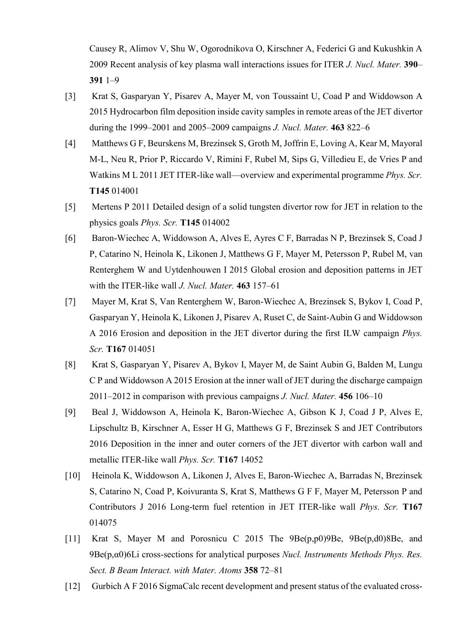Causey R, Alimov V, Shu W, Ogorodnikova O, Kirschner A, Federici G and Kukushkin A 2009 Recent analysis of key plasma wall interactions issues for ITER J. Nucl. Mater. 390– 391 1–9

- [3] Krat S, Gasparyan Y, Pisarev A, Mayer M, von Toussaint U, Coad P and Widdowson A 2015 Hydrocarbon film deposition inside cavity samples in remote areas of the JET divertor during the 1999–2001 and 2005–2009 campaigns *J. Nucl. Mater*. **463** 822–6
- [4] Matthews G F, Beurskens M, Brezinsek S, Groth M, Joffrin E, Loving A, Kear M, Mayoral M-L, Neu R, Prior P, Riccardo V, Rimini F, Rubel M, Sips G, Villedieu E, de Vries P and Watkins M L 2011 JET ITER-like wall—overview and experimental programme Phys. Scr. T145 014001
- [5] Mertens P 2011 Detailed design of a solid tungsten divertor row for JET in relation to the physics goals Phys. Scr. T145 014002
- [6] Baron-Wiechec A, Widdowson A, Alves E, Ayres C F, Barradas N P, Brezinsek S, Coad J P, Catarino N, Heinola K, Likonen J, Matthews G F, Mayer M, Petersson P, Rubel M, van Renterghem W and Uytdenhouwen I 2015 Global erosion and deposition patterns in JET with the ITER-like wall *J. Nucl. Mater*. 463 157–61
- [7] Mayer M, Krat S, Van Renterghem W, Baron-Wiechec A, Brezinsek S, Bykov I, Coad P, Gasparyan Y, Heinola K, Likonen J, Pisarev A, Ruset C, de Saint-Aubin G and Widdowson A 2016 Erosion and deposition in the JET divertor during the first ILW campaign Phys. Scr. T167 014051
- [8] Krat S, Gasparyan Y, Pisarev A, Bykov I, Mayer M, de Saint Aubin G, Balden M, Lungu C P and Widdowson A 2015 Erosion at the inner wall of JET during the discharge campaign 2011–2012 in comparison with previous campaigns J. Nucl. Mater. 456 106–10
- [9] Beal J, Widdowson A, Heinola K, Baron-Wiechec A, Gibson K J, Coad J P, Alves E, Lipschultz B, Kirschner A, Esser H G, Matthews G F, Brezinsek S and JET Contributors 2016 Deposition in the inner and outer corners of the JET divertor with carbon wall and metallic ITER-like wall Phys. Scr. T167 14052
- [10] Heinola K, Widdowson A, Likonen J, Alves E, Baron-Wiechec A, Barradas N, Brezinsek S, Catarino N, Coad P, Koivuranta S, Krat S, Matthews G F F, Mayer M, Petersson P and Contributors J 2016 Long-term fuel retention in JET ITER-like wall *Phys. Scr.* T167 014075
- [11] Krat S, Mayer M and Porosnicu C 2015 The 9Be(p,p0)9Be, 9Be(p,d0)8Be, and  $9Be(p,\alpha0)$ 6Li cross-sections for analytical purposes *Nucl. Instruments Methods Phys. Res.* Sect. B Beam Interact. with Mater. Atoms 358 72-81
- [12] Gurbich A F 2016 SigmaCalc recent development and present status of the evaluated cross-